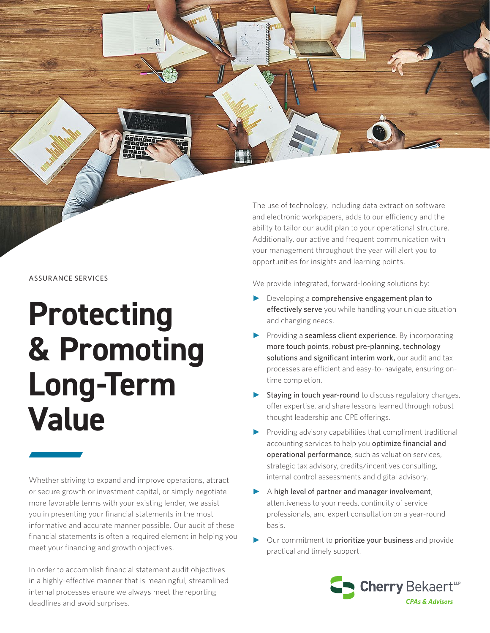ASSURANCE SERVICES

# **Protecting & Promoting Long-Term Value**

**Dangangé** 

Whether striving to expand and improve operations, attract or secure growth or investment capital, or simply negotiate more favorable terms with your existing lender, we assist you in presenting your financial statements in the most informative and accurate manner possible. Our audit of these financial statements is often a required element in helping you meet your financing and growth objectives.

In order to accomplish financial statement audit objectives in a highly-effective manner that is meaningful, streamlined internal processes ensure we always meet the reporting deadlines and avoid surprises.

The use of technology, including data extraction software and electronic workpapers, adds to our efficiency and the ability to tailor our audit plan to your operational structure. Additionally, our active and frequent communication with your management throughout the year will alert you to opportunities for insights and learning points.

We provide integrated, forward-looking solutions by:

- ► Developing a comprehensive engagement plan to effectively serve you while handling your unique situation and changing needs.
- ► Providing a seamless client experience. By incorporating more touch points, robust pre-planning, technology solutions and significant interim work, our audit and tax processes are efficient and easy-to-navigate, ensuring ontime completion.
- Staying in touch year-round to discuss regulatory changes, offer expertise, and share lessons learned through robust thought leadership and CPE offerings.
- Providing advisory capabilities that compliment traditional accounting services to help you optimize financial and operational performance, such as valuation services, strategic tax advisory, credits/incentives consulting, internal control assessments and digital advisory.
- A high level of partner and manager involvement, attentiveness to your needs, continuity of service professionals, and expert consultation on a year-round basis.
- Our commitment to prioritize your business and provide practical and timely support.